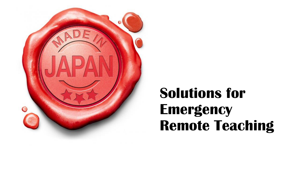

### **Solutions for Emergency Remote Teaching**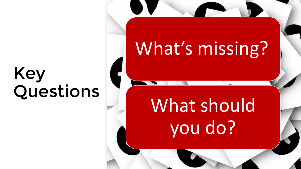## Key Questions

# What's missing?

# What should you do?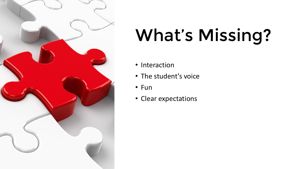

# What's Missing?

- Interaction
- The student's voice
- Fun
- Clear expectations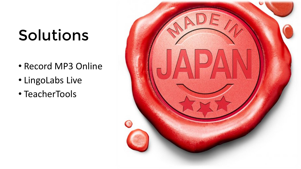## Solutions

- Record MP3 Online
- LingoLabs Live
- TeacherTools

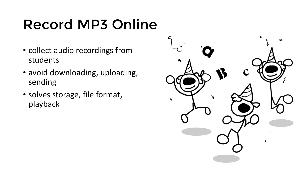### Record MP3 Online

- collect audio recordings from students
- avoid downloading, uploading, sending
- solves storage, file format, playback

![](_page_4_Picture_4.jpeg)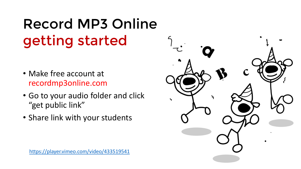### Record MP3 Online getting started

- Make free account at recordmp3online.com
- Go to your audio folder and click "get public link"
- Share link with your students

![](_page_5_Picture_4.jpeg)

![](_page_5_Picture_5.jpeg)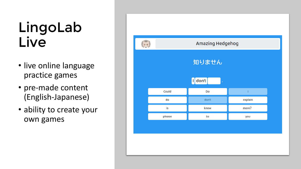#### LingoLab Live

- live online language practice games
- pre-made content (English-Japanese)
- ability to create your own games

![](_page_6_Figure_4.jpeg)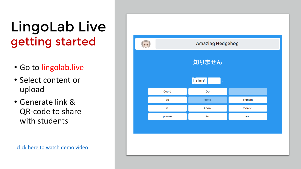#### LingoLab Live getting started

- Go to lingolab.live
- Select content or upload
- Generate link & QR-code to share with students

![](_page_7_Figure_4.jpeg)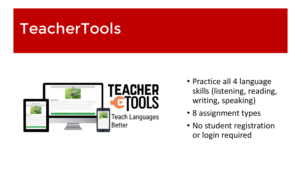### TeacherTools TeacherTools

![](_page_8_Picture_1.jpeg)

- Practice all 4 language skills (listening, reading, writing, speaking)
- 8 assignment types
- No student registration or login required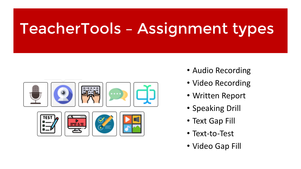## TeacherTools TeacherTools – Assignment types

![](_page_9_Picture_1.jpeg)

- Audio Recording
- Video Recording
- Written Report
- Speaking Drill
- Text Gap Fill
- Text-to-Test
- Video Gap Fill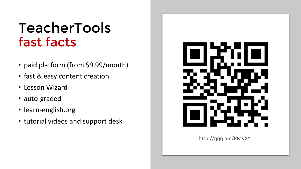#### TeacherTools fast facts

- paid platform (from \$9.99/month)
- fast & easy content creation
- Lesson Wizard
- auto-graded
- learn-english.org
- tutorial videos and support desk

![](_page_10_Picture_7.jpeg)

http://qqq.am/PMVXY